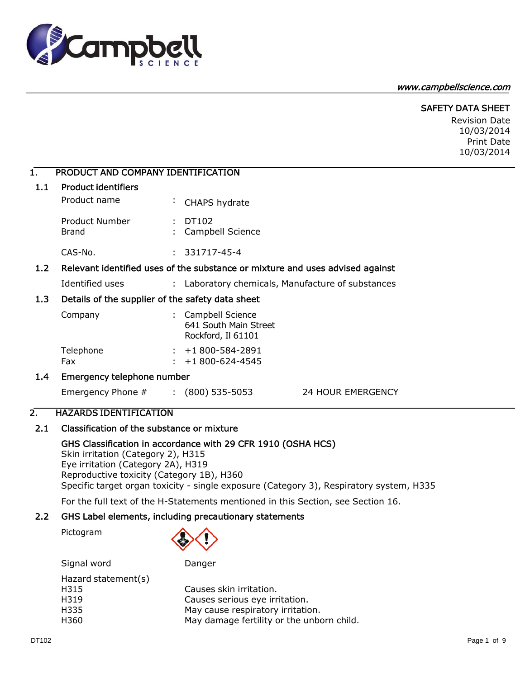#### www.campbellscience.com



Revision Date 10/03/2014 Print Date 10/03/2014

# 1. PRODUCT AND COMPANY IDENTIFICATION

amp

| 1.1              | <b>Product identifiers</b>                       |    |                                                                 |                                                                               |
|------------------|--------------------------------------------------|----|-----------------------------------------------------------------|-------------------------------------------------------------------------------|
|                  | Product name                                     |    | CHAPS hydrate                                                   |                                                                               |
|                  | <b>Product Number</b><br>Brand                   |    | DT102<br>Campbell Science                                       |                                                                               |
|                  | CAS-No.                                          |    | $: 331717 - 45 - 4$                                             |                                                                               |
| 1.2              |                                                  |    |                                                                 | Relevant identified uses of the substance or mixture and uses advised against |
|                  | Identified uses                                  |    |                                                                 | : Laboratory chemicals, Manufacture of substances                             |
| 1.3 <sub>1</sub> | Details of the supplier of the safety data sheet |    |                                                                 |                                                                               |
|                  | Company                                          |    | Campbell Science<br>641 South Main Street<br>Rockford, Il 61101 |                                                                               |
|                  | Telephone<br>Fax                                 | ÷. | $: +1800 - 584 - 2891$<br>+1 800-624-4545                       |                                                                               |
| 1.4              | Emergency telephone number                       |    |                                                                 |                                                                               |
|                  | Emergency Phone # : (800) 535-5053               |    |                                                                 | <b>24 HOUR EMERGENCY</b>                                                      |
| 2.               | <b>HAZARDS IDENTIFICATION</b>                    |    |                                                                 |                                                                               |

# 2.1 Classification of the substance or mixture

GHS Classification in accordance with 29 CFR 1910 (OSHA HCS) Skin irritation (Category 2), H315 Eye irritation (Category 2A), H319 Reproductive toxicity (Category 1B), H360 Specific target organ toxicity - single exposure (Category 3), Respiratory system, H335

For the full text of the H-Statements mentioned in this Section, see Section 16.

# 2.2 GHS Label elements, including precautionary statements

Pictogram



Signal word Danger Hazard statement(s)

| H315  | Causes skin irritation.                   |
|-------|-------------------------------------------|
| H319  | Causes serious eye irritation.            |
| H335. | May cause respiratory irritation.         |
| H360  | May damage fertility or the unborn child. |
|       |                                           |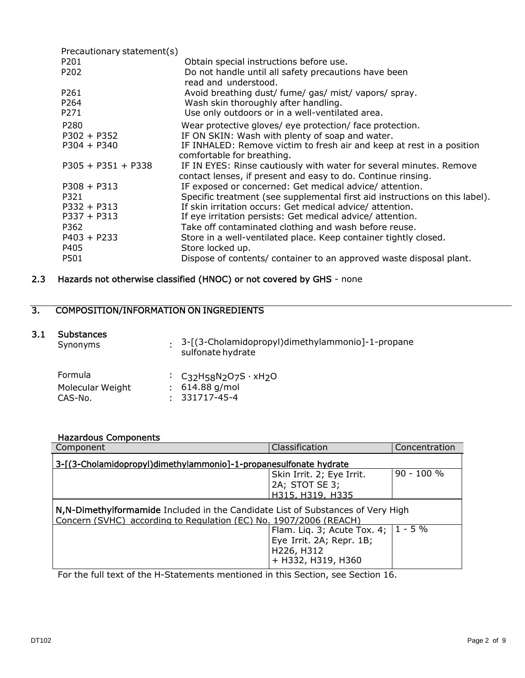| Precautionary statement(s) |                                                                                                                                     |
|----------------------------|-------------------------------------------------------------------------------------------------------------------------------------|
| P <sub>201</sub>           | Obtain special instructions before use.                                                                                             |
| P202                       | Do not handle until all safety precautions have been<br>read and understood.                                                        |
| P <sub>261</sub>           | Avoid breathing dust/ fume/ gas/ mist/ vapors/ spray.                                                                               |
| P <sub>264</sub>           | Wash skin thoroughly after handling.                                                                                                |
| P <sub>271</sub>           | Use only outdoors or in a well-ventilated area.                                                                                     |
| P280                       | Wear protective gloves/ eye protection/ face protection.                                                                            |
| $P302 + P352$              | IF ON SKIN: Wash with plenty of soap and water.                                                                                     |
| $P304 + P340$              | IF INHALED: Remove victim to fresh air and keep at rest in a position<br>comfortable for breathing.                                 |
| $P305 + P351 + P338$       | IF IN EYES: Rinse cautiously with water for several minutes. Remove<br>contact lenses, if present and easy to do. Continue rinsing. |
| $P308 + P313$              | IF exposed or concerned: Get medical advice/attention.                                                                              |
| P321                       | Specific treatment (see supplemental first aid instructions on this label).                                                         |
| $P332 + P313$              | If skin irritation occurs: Get medical advice/attention.                                                                            |
| $P337 + P313$              | If eye irritation persists: Get medical advice/attention.                                                                           |
| P362                       | Take off contaminated clothing and wash before reuse.                                                                               |
| $P403 + P233$              | Store in a well-ventilated place. Keep container tightly closed.                                                                    |
| P405                       | Store locked up.                                                                                                                    |
| P501                       | Dispose of contents/ container to an approved waste disposal plant.                                                                 |

# 2.3 Hazards not otherwise classified (HNOC) or not covered by GHS - none

# 3. COMPOSITION/INFORMATION ON INGREDIENTS

#### 3.1 Substances

| Synonyms         | . 3-[(3-Cholamidopropyl)dimethylammonio]-1-propane<br>sulfonate hydrate                  |
|------------------|------------------------------------------------------------------------------------------|
| Formula          | : $C_3$ <sub>2</sub> H <sub>58</sub> N <sub>2</sub> O <sub>7</sub> S · xH <sub>2</sub> O |
| Molecular Weight | $: 614.88$ g/mol                                                                         |
| CAS-No.          | - 331717-45-4<br>$\sim$                                                                  |

#### Hazardous Components

| Component                                                                                                                                             | Classification     | Concentration |  |  |  |  |
|-------------------------------------------------------------------------------------------------------------------------------------------------------|--------------------|---------------|--|--|--|--|
| 3-[(3-Cholamidopropyl)dimethylammonio]-1-propanesulfonate hydrate                                                                                     |                    |               |  |  |  |  |
| 90 - 100 %<br>Skin Irrit. 2; Eye Irrit.                                                                                                               |                    |               |  |  |  |  |
|                                                                                                                                                       | 2A; STOT SE 3;     |               |  |  |  |  |
|                                                                                                                                                       | H315, H319, H335   |               |  |  |  |  |
| N, N-Dimethylformamide Included in the Candidate List of Substances of Very High<br>Concern (SVHC) according to Regulation (EC) No. 1907/2006 (REACH) |                    |               |  |  |  |  |
| $1 - 5\%$<br>Flam. Liq. 3; Acute Tox. 4;                                                                                                              |                    |               |  |  |  |  |
| Eye Irrit. 2A; Repr. 1B;                                                                                                                              |                    |               |  |  |  |  |
|                                                                                                                                                       | H226, H312         |               |  |  |  |  |
|                                                                                                                                                       |                    |               |  |  |  |  |
|                                                                                                                                                       | + H332, H319, H360 |               |  |  |  |  |

For the full text of the H-Statements mentioned in this Section, see Section 16.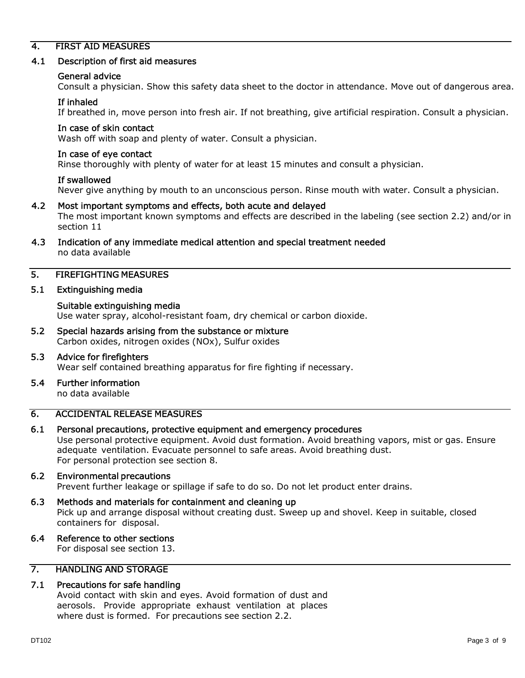# 4. FIRST AID MEASURES

#### 4.1 Description of first aid measures

#### General advice

Consult a physician. Show this safety data sheet to the doctor in attendance. Move out of dangerous area.

#### If inhaled

If breathed in, move person into fresh air. If not breathing, give artificial respiration. Consult a physician.

#### In case of skin contact

Wash off with soap and plenty of water. Consult a physician.

#### In case of eye contact

Rinse thoroughly with plenty of water for at least 15 minutes and consult a physician.

#### If swallowed

Never give anything by mouth to an unconscious person. Rinse mouth with water. Consult a physician.

#### 4.2 Most important symptoms and effects, both acute and delayed

The most important known symptoms and effects are described in the labeling (see section 2.2) and/or in section 11

#### 4.3 Indication of any immediate medical attention and special treatment needed no data available

### 5. FIREFIGHTING MEASURES

#### 5.1 Extinguishing media

#### Suitable extinguishing media

Use water spray, alcohol-resistant foam, dry chemical or carbon dioxide.

5.2 Special hazards arising from the substance or mixture Carbon oxides, nitrogen oxides (NOx), Sulfur oxides

#### 5.3 Advice for firefighters Wear self contained breathing apparatus for fire fighting if necessary.

5.4 Further information no data available

# 6. ACCIDENTAL RELEASE MEASURES

#### 6.1 Personal precautions, protective equipment and emergency procedures

Use personal protective equipment. Avoid dust formation. Avoid breathing vapors, mist or gas. Ensure adequate ventilation. Evacuate personnel to safe areas. Avoid breathing dust. For personal protection see section 8.

#### 6.2 Environmental precautions

Prevent further leakage or spillage if safe to do so. Do not let product enter drains.

#### 6.3 Methods and materials for containment and cleaning up

Pick up and arrange disposal without creating dust. Sweep up and shovel. Keep in suitable, closed containers for disposal.

#### 6.4 Reference to other sections

For disposal see section 13.

## 7. HANDLING AND STORAGE

#### 7.1 Precautions for safe handling

Avoid contact with skin and eyes. Avoid formation of dust and aerosols. Provide appropriate exhaust ventilation at places where dust is formed. For precautions see section 2.2.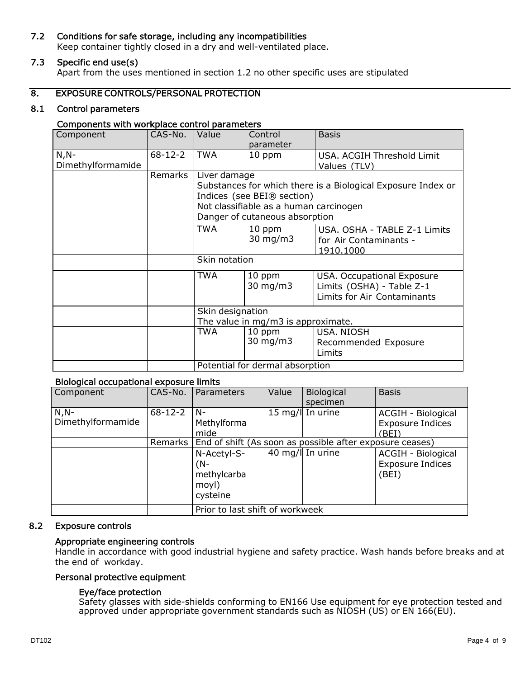## 7.2 Conditions for safe storage, including any incompatibilities

Keep container tightly closed in a dry and well-ventilated place.

# 7.3 Specific end use(s)

Apart from the uses mentioned in section 1.2 no other specific uses are stipulated

#### 8. EXPOSURE CONTROLS/PERSONAL PROTECTION

#### 8.1 Control parameters

#### Components with workplace control parameters

| Component         | CAS-No.       | Value                           | Control<br>parameter                   | <b>Basis</b>                                                 |
|-------------------|---------------|---------------------------------|----------------------------------------|--------------------------------------------------------------|
|                   |               |                                 |                                        |                                                              |
| $N, N-$           | $68 - 12 - 2$ | <b>TWA</b>                      | 10 ppm                                 | USA. ACGIH Threshold Limit                                   |
| Dimethylformamide |               |                                 |                                        | Values (TLV)                                                 |
|                   | Remarks       | Liver damage                    |                                        |                                                              |
|                   |               |                                 |                                        | Substances for which there is a Biological Exposure Index or |
|                   |               |                                 | Indices (see BEI® section)             |                                                              |
|                   |               |                                 | Not classifiable as a human carcinogen |                                                              |
|                   |               |                                 | Danger of cutaneous absorption         |                                                              |
|                   |               | <b>TWA</b>                      | 10 ppm                                 | USA. OSHA - TABLE Z-1 Limits                                 |
|                   |               |                                 | $30 \text{ mg/m}$                      | for Air Contaminants -                                       |
|                   |               |                                 |                                        | 1910.1000                                                    |
|                   |               | Skin notation                   |                                        |                                                              |
|                   |               | TWA                             | 10 ppm                                 | USA. Occupational Exposure                                   |
|                   |               |                                 | $30 \text{ mg/m}$                      | Limits (OSHA) - Table Z-1                                    |
|                   |               |                                 |                                        | Limits for Air Contaminants                                  |
|                   |               | Skin designation                |                                        |                                                              |
|                   |               |                                 | The value in mg/m3 is approximate.     |                                                              |
|                   |               | TWA                             | 10 ppm                                 | <b>USA. NIOSH</b>                                            |
|                   |               |                                 | 30 mg/m3                               | Recommended Exposure                                         |
|                   |               |                                 |                                        | Limits                                                       |
|                   |               | Potential for dermal absorption |                                        |                                                              |

## Biological occupational exposure limits

| Component                    | CAS-No.       | Parameters                                                         | Value | Biological<br>specimen | <b>Basis</b>                                           |  |
|------------------------------|---------------|--------------------------------------------------------------------|-------|------------------------|--------------------------------------------------------|--|
| $N, N-$<br>Dimethylformamide | $68 - 12 - 2$ | N-<br>Methylforma<br>mide                                          |       | 15 mg/l In urine       | ACGIH - Biological<br><b>Exposure Indices</b><br>(BEI) |  |
|                              |               | Remarks   End of shift (As soon as possible after exposure ceases) |       |                        |                                                        |  |
|                              |               | N-Acetyl-S-<br>$(N-$<br>methylcarba<br>moyl)<br>cysteine           |       | 40 mg/l In urine       | ACGIH - Biological<br><b>Exposure Indices</b><br>(BEI) |  |
|                              |               | Prior to last shift of workweek                                    |       |                        |                                                        |  |

#### 8.2 Exposure controls

#### Appropriate engineering controls

Handle in accordance with good industrial hygiene and safety practice. Wash hands before breaks and at the end of workday.

#### Personal protective equipment

#### Eye/face protection

Safety glasses with side-shields conforming to EN166 Use equipment for eye protection tested and approved under appropriate government standards such as NIOSH (US) or EN 166(EU).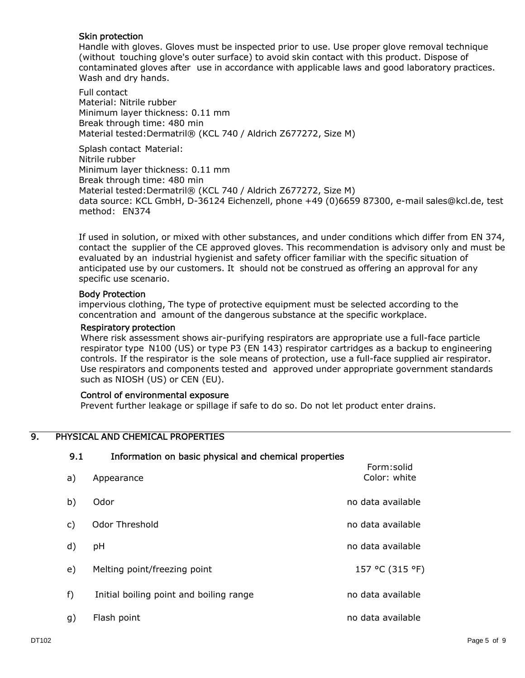#### Skin protection

Handle with gloves. Gloves must be inspected prior to use. Use proper glove removal technique (without touching glove's outer surface) to avoid skin contact with this product. Dispose of contaminated gloves after use in accordance with applicable laws and good laboratory practices. Wash and dry hands.

Full contact Material: Nitrile rubber Minimum layer thickness: 0.11 mm Break through time: 480 min Material tested:Dermatril® (KCL 740 / Aldrich Z677272, Size M)

Splash contact Material: Nitrile rubber Minimum layer thickness: 0.11 mm Break through time: 480 min Material tested:Dermatril® (KCL 740 / Aldrich Z677272, Size M) data source: KCL GmbH, D-36124 Eichenzell, phone +49 (0)6659 87300, e-mail [sales@kcl.de,](mailto:sales@kcl.de) test method: EN374

If used in solution, or mixed with other substances, and under conditions which differ from EN 374, contact the supplier of the CE approved gloves. This recommendation is advisory only and must be evaluated by an industrial hygienist and safety officer familiar with the specific situation of anticipated use by our customers. It should not be construed as offering an approval for any specific use scenario.

#### Body Protection

impervious clothing, The type of protective equipment must be selected according to the concentration and amount of the dangerous substance at the specific workplace.

#### Respiratory protection

Where risk assessment shows air-purifying respirators are appropriate use a full-face particle respirator type N100 (US) or type P3 (EN 143) respirator cartridges as a backup to engineering controls. If the respirator is the sole means of protection, use a full-face supplied air respirator. Use respirators and components tested and approved under appropriate government standards such as NIOSH (US) or CEN (EU).

#### Control of environmental exposure

Prevent further leakage or spillage if safe to do so. Do not let product enter drains.

# 9. PHYSICAL AND CHEMICAL PROPERTIES

| フ・エ | THORTOGROUP OF DOSIC DRYSICAL AND CHEMICAL DIODERUES |                            |
|-----|------------------------------------------------------|----------------------------|
| a)  | Appearance                                           | Form:solid<br>Color: white |
| b)  | Odor                                                 | no data available          |
| C)  | Odor Threshold                                       | no data available          |
| d)  | рH                                                   | no data available          |
| e)  | Melting point/freezing point                         | 157 °C (315 °F)            |
| f)  | Initial boiling point and boiling range              | no data available          |
| g)  | Flash point                                          | no data available          |

9.1 Information on basic physical and chemical properties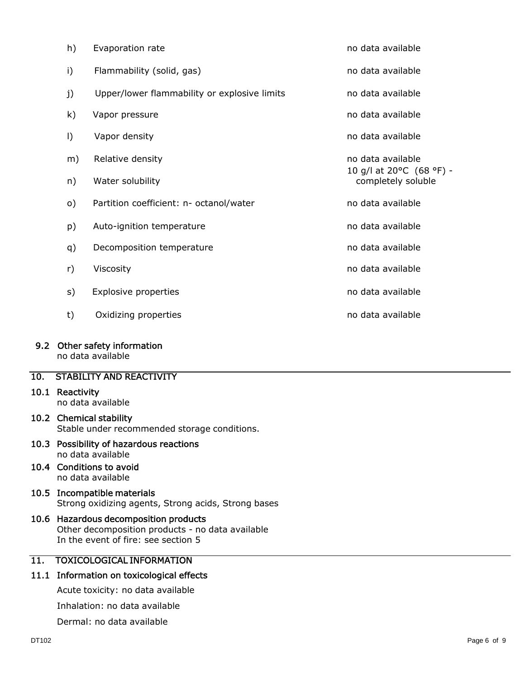| h)       | Evaporation rate                             | no data available                                                   |
|----------|----------------------------------------------|---------------------------------------------------------------------|
| i)       | Flammability (solid, gas)                    | no data available                                                   |
| j)       | Upper/lower flammability or explosive limits | no data available                                                   |
| k)       | Vapor pressure                               | no data available                                                   |
| I)       | Vapor density                                | no data available                                                   |
| m)       | Relative density                             | no data available                                                   |
| n)       | Water solubility                             | 10 g/l at 20 $^{\circ}$ C (68 $^{\circ}$ F) -<br>completely soluble |
| $\circ)$ | Partition coefficient: n- octanol/water      | no data available                                                   |
| p)       | Auto-ignition temperature                    | no data available                                                   |
| q)       | Decomposition temperature                    | no data available                                                   |
| r)       | Viscosity                                    | no data available                                                   |
| s)       | Explosive properties                         | no data available                                                   |
| t)       | Oxidizing properties                         | no data available                                                   |

#### 9.2 Other safety information

no data available

# 10. STABILITY AND REACTIVITY

#### 10.1 Reactivity

no data available

# 10.2 Chemical stability Stable under recommended storage conditions.

10.3 Possibility of hazardous reactions no data available

# 10.4 Conditions to avoid no data available

- 10.5 Incompatible materials Strong oxidizing agents, Strong acids, Strong bases
- 10.6 Hazardous decomposition products Other decomposition products - no data available In the event of fire: see section 5

# 11. TOXICOLOGICAL INFORMATION

# 11.1 Information on toxicological effects

Acute toxicity: no data available

Inhalation: no data available

Dermal: no data available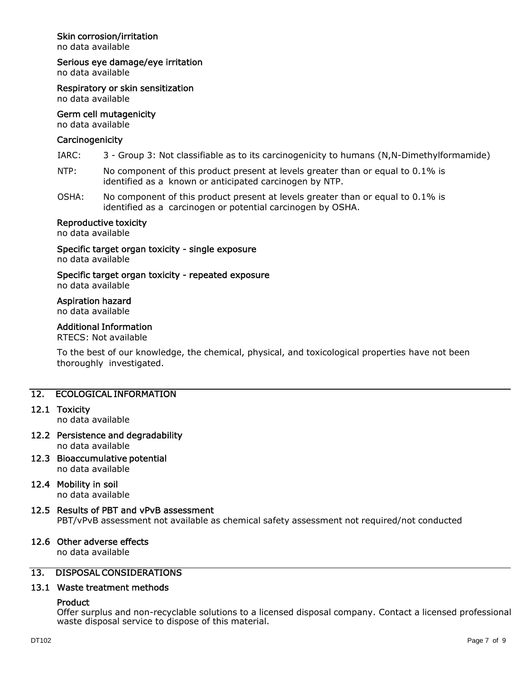## Skin corrosion/irritation

no data available

#### Serious eye damage/eye irritation

no data available

Respiratory or skin sensitization no data available

# Germ cell mutagenicity

no data available

#### **Carcinogenicity**

- IARC: 3 Group 3: Not classifiable as to its carcinogenicity to humans (N,N-Dimethylformamide)
- NTP: No component of this product present at levels greater than or equal to 0.1% is identified as a known or anticipated carcinogen by NTP.
- OSHA: No component of this product present at levels greater than or equal to 0.1% is identified as a carcinogen or potential carcinogen by OSHA.

#### Reproductive toxicity

no data available

Specific target organ toxicity - single exposure no data available

# Specific target organ toxicity - repeated exposure

no data available

#### Aspiration hazard

no data available

#### Additional Information

RTECS: Not available

To the best of our knowledge, the chemical, physical, and toxicological properties have not been thoroughly investigated.

#### 12. ECOLOGICAL INFORMATION

#### 12.1 Toxicity

no data available

- 12.2 Persistence and degradability no data available
- 12.3 Bioaccumulative potential no data available
- 12.4 Mobility in soil

no data available

#### 12.5 Results of PBT and vPvB assessment

PBT/vPvB assessment not available as chemical safety assessment not required/not conducted

### 12.6 Other adverse effects

no data available

# 13. DISPOSAL CONSIDERATIONS

# 13.1 Waste treatment methods

## **Product**

Offer surplus and non-recyclable solutions to a licensed disposal company. Contact a licensed professional waste disposal service to dispose of this material.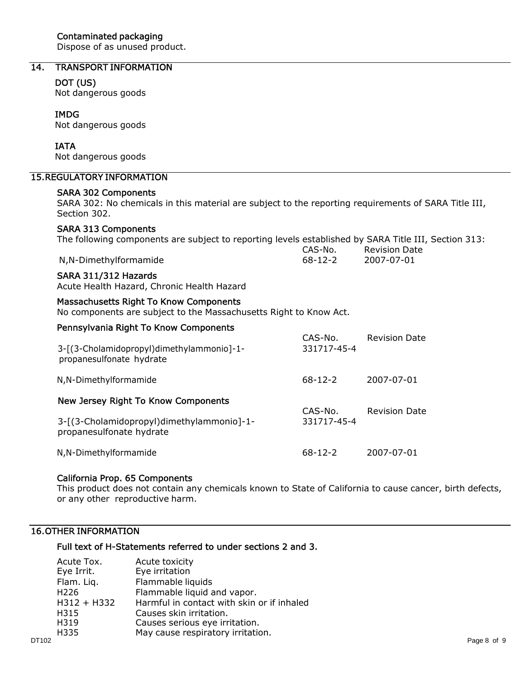Dispose of as unused product.

# 14. TRANSPORT INFORMATION

#### DOT (US)

Not dangerous goods

#### IMDG

Not dangerous goods

#### IATA

Not dangerous goods

## 15.REGULATORY INFORMATION

#### SARA 302 Components

SARA 302: No chemicals in this material are subject to the reporting requirements of SARA Title III, Section 302.

#### SARA 313 Components

|  | The following components are subject to reporting levels established by SARA Title III, Section 313: |
|--|------------------------------------------------------------------------------------------------------|
|  |                                                                                                      |

|                       | CAS-No.       | <b>Revision Date</b> |
|-----------------------|---------------|----------------------|
| N,N-Dimethylformamide | $68 - 12 - 2$ | 2007-07-01           |

#### SARA 311/312 Hazards

Acute Health Hazard, Chronic Health Hazard

#### Massachusetts Right To Know Components

No components are subject to the Massachusetts Right to Know Act.

| Pennsylvania Right To Know Components                                 | CAS-No.<br>331717-45-4 | <b>Revision Date</b> |
|-----------------------------------------------------------------------|------------------------|----------------------|
| 3-[(3-Cholamidopropyl)dimethylammonio]-1-<br>propanesulfonate hydrate |                        |                      |
| N,N-Dimethylformamide                                                 | $68-12-2$              | 2007-07-01           |
| New Jersey Right To Know Components                                   | CAS-No.<br>331717-45-4 | <b>Revision Date</b> |
| 3-[(3-Cholamidopropyl)dimethylammonio]-1-<br>propanesulfonate hydrate |                        |                      |
| N,N-Dimethylformamide                                                 | $68 - 12 - 2$          | 2007-07-01           |

#### California Prop. 65 Components

This product does not contain any chemicals known to State of California to cause cancer, birth defects, or any other reproductive harm.

# 16.OTHER INFORMATION

# Full text of H-Statements referred to under sections 2 and 3.

|       | Acute Tox.       | Acute toxicity                             |             |
|-------|------------------|--------------------------------------------|-------------|
|       | Eye Irrit.       | Eye irritation                             |             |
|       | Flam. Liq.       | Flammable liquids                          |             |
|       | H <sub>226</sub> | Flammable liquid and vapor.                |             |
|       | $H312 + H332$    | Harmful in contact with skin or if inhaled |             |
|       | H315             | Causes skin irritation.                    |             |
|       | H319             | Causes serious eye irritation.             |             |
|       | H335             | May cause respiratory irritation.          |             |
| DT102 |                  |                                            | Page 8 of 9 |